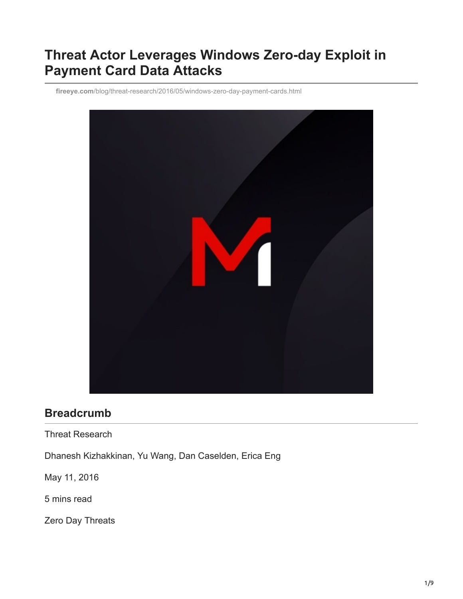# **Threat Actor Leverages Windows Zero-day Exploit in Payment Card Data Attacks**

**fireeye.com**[/blog/threat-research/2016/05/windows-zero-day-payment-cards.html](https://www.fireeye.com/blog/threat-research/2016/05/windows-zero-day-payment-cards.html)



### **Breadcrumb**

Threat Research

Dhanesh Kizhakkinan, Yu Wang, Dan Caselden, Erica Eng

May 11, 2016

5 mins read

Zero Day Threats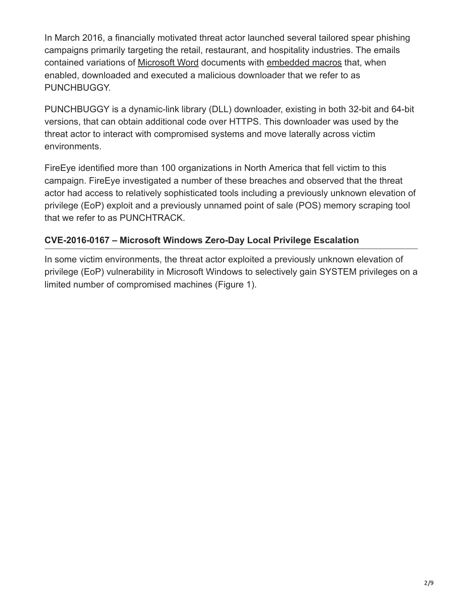In March 2016, a financially motivated threat actor launched several tailored spear phishing campaigns primarily targeting the retail, restaurant, and hospitality industries. The emails contained variations of [Microsoft Word](http://researchcenter.paloaltonetworks.com/2016/03/powersniff-malware-used-in-macro-based-attacks/) documents with [embedded macros](https://blogs.mcafee.com/mcafee-labs/macro-malware-associated-dridex-finds-new-ways-hide/) that, when enabled, downloaded and executed a malicious downloader that we refer to as PUNCHBUGGY.

PUNCHBUGGY is a dynamic-link library (DLL) downloader, existing in both 32-bit and 64-bit versions, that can obtain additional code over HTTPS. This downloader was used by the threat actor to interact with compromised systems and move laterally across victim environments.

FireEye identified more than 100 organizations in North America that fell victim to this campaign. FireEye investigated a number of these breaches and observed that the threat actor had access to relatively sophisticated tools including a previously unknown elevation of privilege (EoP) exploit and a previously unnamed point of sale (POS) memory scraping tool that we refer to as PUNCHTRACK.

### **CVE-2016-0167 – Microsoft Windows Zero-Day Local Privilege Escalation**

In some victim environments, the threat actor exploited a previously unknown elevation of privilege (EoP) vulnerability in Microsoft Windows to selectively gain SYSTEM privileges on a limited number of compromised machines (Figure 1).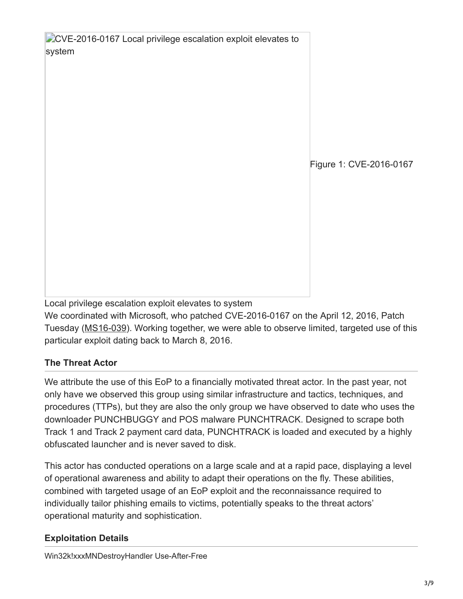**CVE-2016-0167 Local privilege escalation exploit elevates to** system Figure 1: CVE-2016-0167

Local privilege escalation exploit elevates to system

We coordinated with Microsoft, who patched CVE-2016-0167 on the April 12, 2016, Patch Tuesday ([MS16-039](https://technet.microsoft.com/en-us/library/security/ms16-039.aspx)). Working together, we were able to observe limited, targeted use of this particular exploit dating back to March 8, 2016.

## **The Threat Actor**

We attribute the use of this EoP to a financially motivated threat actor. In the past year, not only have we observed this group using similar infrastructure and tactics, techniques, and procedures (TTPs), but they are also the only group we have observed to date who uses the downloader PUNCHBUGGY and POS malware PUNCHTRACK. Designed to scrape both Track 1 and Track 2 payment card data, PUNCHTRACK is loaded and executed by a highly obfuscated launcher and is never saved to disk.

This actor has conducted operations on a large scale and at a rapid pace, displaying a level of operational awareness and ability to adapt their operations on the fly. These abilities, combined with targeted usage of an EoP exploit and the reconnaissance required to individually tailor phishing emails to victims, potentially speaks to the threat actors' operational maturity and sophistication.

## **Exploitation Details**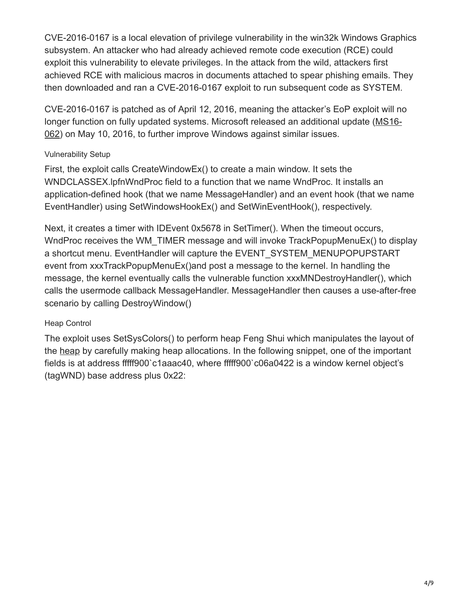CVE-2016-0167 is a local elevation of privilege vulnerability in the win32k Windows Graphics subsystem. An attacker who had already achieved remote code execution (RCE) could exploit this vulnerability to elevate privileges. In the attack from the wild, attackers first achieved RCE with malicious macros in documents attached to spear phishing emails. They then downloaded and ran a CVE-2016-0167 exploit to run subsequent code as SYSTEM.

CVE-2016-0167 is patched as of April 12, 2016, meaning the attacker's EoP exploit will no [longer function on fully updated systems. Microsoft released an additional update \(MS16-](https://technet.microsoft.com/library/security/MS16-062) 062) on May 10, 2016, to further improve Windows against similar issues.

#### Vulnerability Setup

First, the exploit calls CreateWindowEx() to create a main window. It sets the WNDCLASSEX.lpfnWndProc field to a function that we name WndProc. It installs an application-defined hook (that we name MessageHandler) and an event hook (that we name EventHandler) using SetWindowsHookEx() and SetWinEventHook(), respectively.

Next, it creates a timer with IDEvent 0x5678 in SetTimer(). When the timeout occurs, WndProc receives the WM\_TIMER message and will invoke TrackPopupMenuEx() to display a shortcut menu. EventHandler will capture the EVENT\_SYSTEM\_MENUPOPUPSTART event from xxxTrackPopupMenuEx()and post a message to the kernel. In handling the message, the kernel eventually calls the vulnerable function xxxMNDestroyHandler(), which calls the usermode callback MessageHandler. MessageHandler then causes a use-after-free scenario by calling DestroyWindow()

### Heap Control

The exploit uses SetSysColors() to perform heap Feng Shui which manipulates the layout of the [heap](https://en.wikipedia.org/wiki/Heap_%28programming%29) by carefully making heap allocations. In the following snippet, one of the important fields is at address fffff900`c1aaac40, where fffff900`c06a0422 is a window kernel object's (tagWND) base address plus 0x22: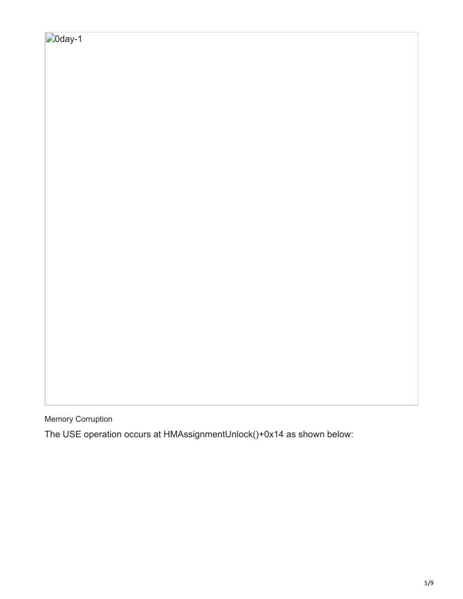Memory Corruption

The USE operation occurs at HMAssignmentUnlock()+0x14 as shown below: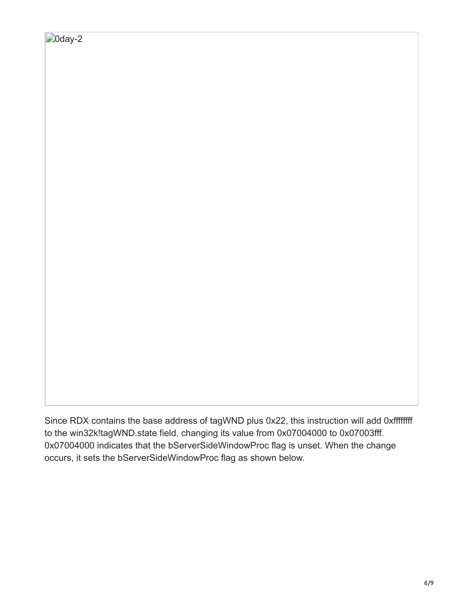Since RDX contains the base address of tagWND plus 0x22, this instruction will add 0xffffffff to the win32k!tagWND.state field, changing its value from 0x07004000 to 0x07003fff. 0x07004000 indicates that the bServerSideWindowProc flag is unset. When the change occurs, it sets the bServerSideWindowProc flag as shown below.

 $\Box$ Oday-2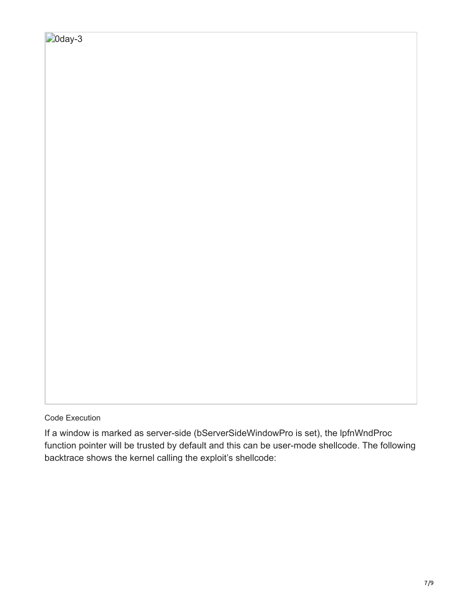Code Execution

If a window is marked as server-side (bServerSideWindowPro is set), the lpfnWndProc function pointer will be trusted by default and this can be user-mode shellcode. The following backtrace shows the kernel calling the exploit's shellcode: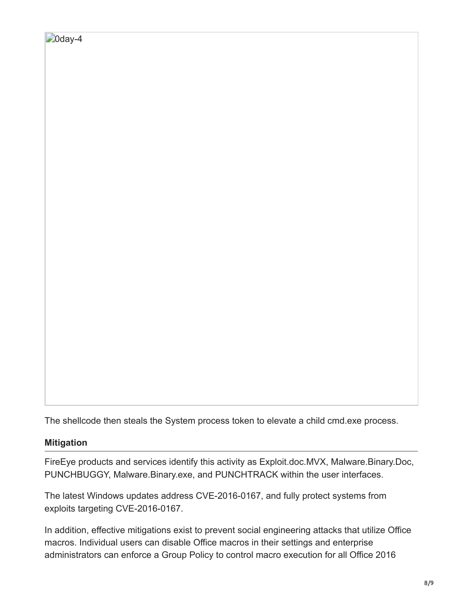The shellcode then steals the System process token to elevate a child cmd.exe process.

#### **Mitigation**

FireEye products and services identify this activity as Exploit.doc.MVX, Malware.Binary.Doc, PUNCHBUGGY, Malware.Binary.exe, and PUNCHTRACK within the user interfaces.

The latest Windows updates address CVE-2016-0167, and fully protect systems from exploits targeting CVE-2016-0167.

In addition, effective mitigations exist to prevent social engineering attacks that utilize Office macros. Individual users can disable Office macros in their settings and enterprise administrators can enforce a Group Policy to control macro execution for all Office 2016